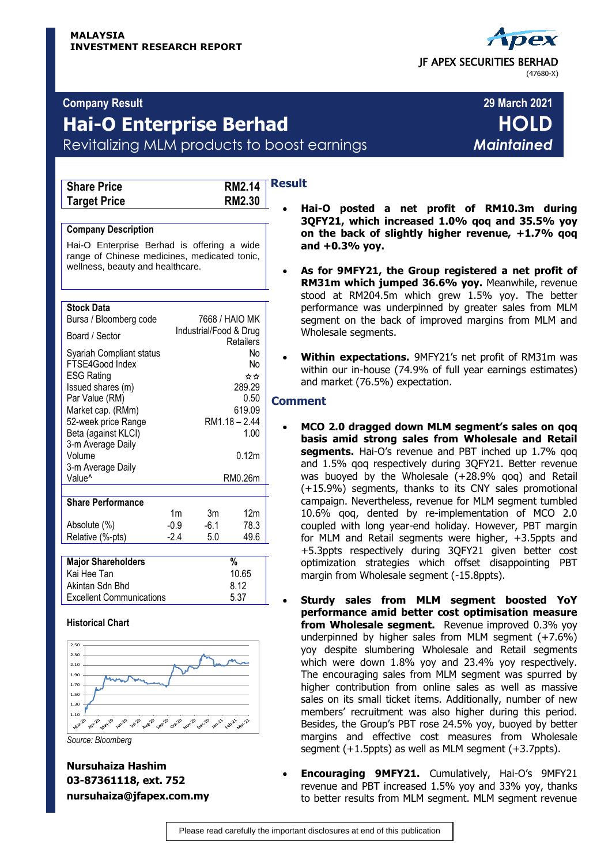# **Company Result 29 March 2021**

# **Hai-O Enterprise Berhad HOLD** Revitalizing MLM products to boost earnings *Maintained*

| <b>Share Price</b>  |
|---------------------|
| <b>Target Price</b> |

**Result Share Price RM2.14 Target Price RM2.30**

## **Company Description**

Hai-O Enterprise Berhad is offering a wide range of Chinese medicines, medicated tonic, wellness, beauty and healthcare.

| <b>Stock Data</b><br>Bursa / Bloomberg code                                                                                                                                                                                    |                                  | 7668 / HAIO MK         |                                                                              |  |  |
|--------------------------------------------------------------------------------------------------------------------------------------------------------------------------------------------------------------------------------|----------------------------------|------------------------|------------------------------------------------------------------------------|--|--|
| Board / Sector                                                                                                                                                                                                                 |                                  | Industrial/Food & Drug | Retailers                                                                    |  |  |
| Syariah Compliant status<br>FTSE4Good Index<br><b>ESG Rating</b><br>Issued shares (m)<br>Par Value (RM)<br>Market cap. (RMm)<br>52-week price Range<br>Beta (against KLCI)<br>3-m Average Daily<br>Volume<br>3-m Average Daily |                                  |                        | No<br>No<br>☆☆<br>289.29<br>0.50<br>619.09<br>RM1.18 - 2.44<br>1.00<br>0.12m |  |  |
| Value <sup>^</sup>                                                                                                                                                                                                             |                                  |                        | RM0.26m                                                                      |  |  |
|                                                                                                                                                                                                                                |                                  |                        |                                                                              |  |  |
| <b>Share Performance</b>                                                                                                                                                                                                       |                                  |                        |                                                                              |  |  |
| Absolute (%)<br>Relative (%-pts)                                                                                                                                                                                               | 1 <sub>m</sub><br>$-0.9$<br>-2.4 | 3m<br>$-6.1$<br>5.0    | 12m<br>78.3<br>49.6                                                          |  |  |
|                                                                                                                                                                                                                                |                                  |                        |                                                                              |  |  |
| <b>Major Shareholders</b>                                                                                                                                                                                                      |                                  |                        | %                                                                            |  |  |
| Kai Hee Tan<br>Akintan Sdn Bhd                                                                                                                                                                                                 |                                  |                        | 10.65                                                                        |  |  |
| Excellent Communications                                                                                                                                                                                                       |                                  | 8.12<br>5.37           |                                                                              |  |  |

# **Historical Chart**



*Source: Bloomberg*

**Nursuhaiza Hashim 03-87361118, ext. 752 nursuhaiza@jfapex.com.my**

- **Hai-O posted a net profit of RM10.3m during 3QFY21, which increased 1.0% qoq and 35.5% yoy on the back of slightly higher revenue, +1.7% qoq and +0.3% yoy.**
- **As for 9MFY21, the Group registered a net profit of RM31m which jumped 36.6% yoy.** Meanwhile, revenue stood at RM204.5m which grew 1.5% yoy. The better performance was underpinned by greater sales from MLM segment on the back of improved margins from MLM and Wholesale segments.
- **Within expectations.** 9MFY21's net profit of RM31m was within our in-house (74.9% of full year earnings estimates) and market (76.5%) expectation.

# **Comment**

- **MCO 2.0 dragged down MLM segment's sales on qoq basis amid strong sales from Wholesale and Retail segments.** Hai-O's revenue and PBT inched up 1.7% gog and 1.5% qoq respectively during 3QFY21. Better revenue was buoyed by the Wholesale (+28.9% qoq) and Retail (+15.9%) segments, thanks to its CNY sales promotional campaign. Nevertheless, revenue for MLM segment tumbled 10.6% qoq, dented by re-implementation of MCO 2.0 coupled with long year-end holiday. However, PBT margin for MLM and Retail segments were higher, +3.5ppts and +5.3ppts respectively during 3QFY21 given better cost optimization strategies which offset disappointing PBT margin from Wholesale segment (-15.8ppts).
- **Sturdy sales from MLM segment boosted YoY performance amid better cost optimisation measure from Wholesale segment.** Revenue improved 0.3% yoy underpinned by higher sales from MLM segment (+7.6%) yoy despite slumbering Wholesale and Retail segments which were down 1.8% yoy and 23.4% yoy respectively. The encouraging sales from MLM segment was spurred by higher contribution from online sales as well as massive sales on its small ticket items. Additionally, number of new members' recruitment was also higher during this period. Besides, the Group's PBT rose 24.5% yoy, buoyed by better margins and effective cost measures from Wholesale segment (+1.5ppts) as well as MLM segment (+3.7ppts).
- **Encouraging 9MFY21.** Cumulatively, Hai-O's 9MFY21 revenue and PBT increased 1.5% yoy and 33% yoy, thanks to better results from MLM segment. MLM segment revenue

 JF APEX SECURITIES BERHAD (47680-X)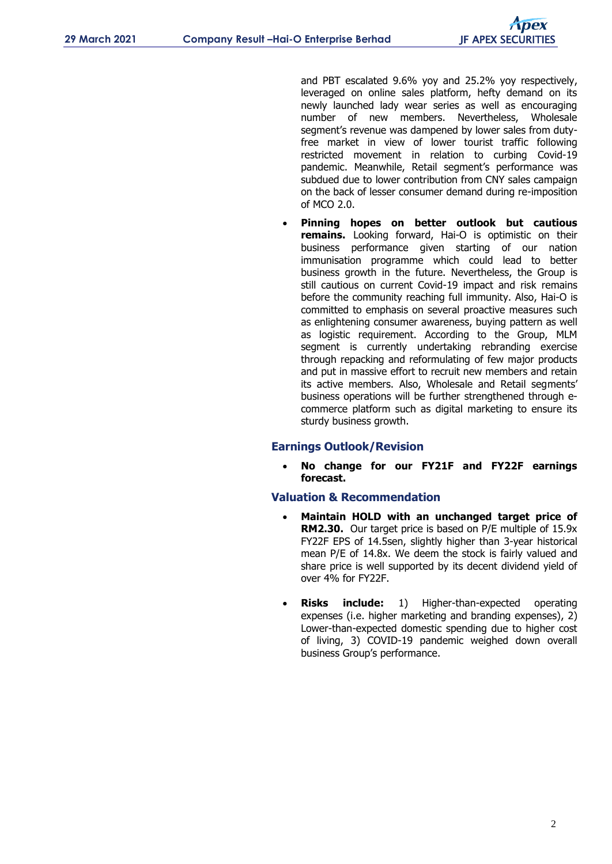and PBT escalated 9.6% yoy and 25.2% yoy respectively, leveraged on online sales platform, hefty demand on its newly launched lady wear series as well as encouraging number of new members. Nevertheless, Wholesale segment's revenue was dampened by lower sales from dutyfree market in view of lower tourist traffic following restricted movement in relation to curbing Covid-19 pandemic. Meanwhile, Retail segment's performance was subdued due to lower contribution from CNY sales campaign on the back of lesser consumer demand during re-imposition of MCO 2.0.

 **Pinning hopes on better outlook but cautious remains.** Looking forward, Hai-O is optimistic on their business performance given starting of our nation immunisation programme which could lead to better business growth in the future. Nevertheless, the Group is still cautious on current Covid-19 impact and risk remains before the community reaching full immunity. Also, Hai-O is committed to emphasis on several proactive measures such as enlightening consumer awareness, buying pattern as well as logistic requirement. According to the Group, MLM segment is currently undertaking rebranding exercise through repacking and reformulating of few major products and put in massive effort to recruit new members and retain its active members. Also, Wholesale and Retail segments' business operations will be further strengthened through ecommerce platform such as digital marketing to ensure its sturdy business growth.

# **Earnings Outlook/Revision**

 **No change for our FY21F and FY22F earnings forecast.**

# **Valuation & Recommendation**

- **Maintain HOLD with an unchanged target price of RM2.30.** Our target price is based on P/E multiple of 15.9x FY22F EPS of 14.5sen, slightly higher than 3-year historical mean P/E of 14.8x. We deem the stock is fairly valued and share price is well supported by its decent dividend yield of over 4% for FY22F.
- **Risks include:** 1) Higher-than-expected operating expenses (i.e. higher marketing and branding expenses), 2) Lower-than-expected domestic spending due to higher cost of living, 3) COVID-19 pandemic weighed down overall business Group's performance.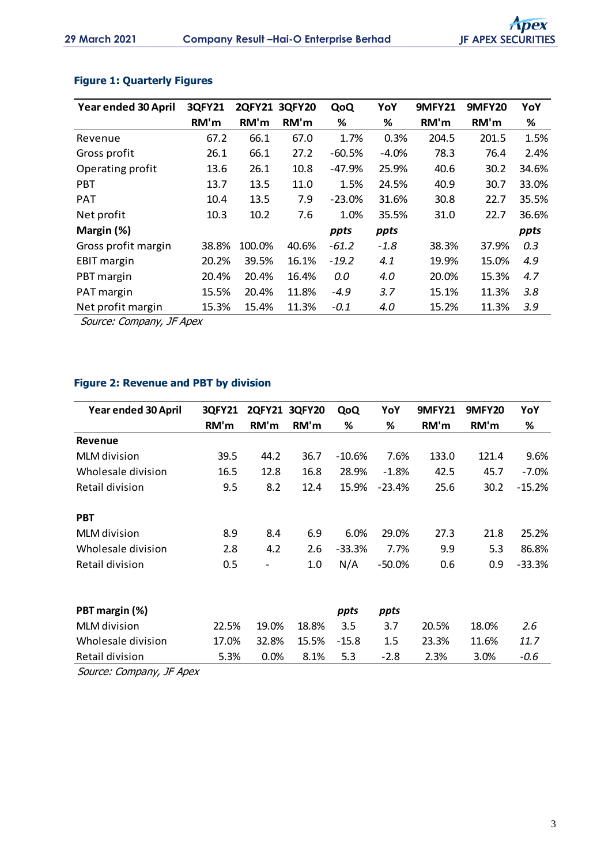| Year ended 30 April | <b>3QFY21</b> | 2QFY21 3QFY20 |       | QoQ      | YoY     | <b>9MFY21</b> | <b>9MFY20</b> | YoY   |
|---------------------|---------------|---------------|-------|----------|---------|---------------|---------------|-------|
|                     | RM'm          | RM'm          | RM'm  | %        | %       | RM'm          | RM'm          | %     |
| Revenue             | 67.2          | 66.1          | 67.0  | 1.7%     | 0.3%    | 204.5         | 201.5         | 1.5%  |
| Gross profit        | 26.1          | 66.1          | 27.2  | $-60.5%$ | $-4.0%$ | 78.3          | 76.4          | 2.4%  |
| Operating profit    | 13.6          | 26.1          | 10.8  | $-47.9%$ | 25.9%   | 40.6          | 30.2          | 34.6% |
| <b>PBT</b>          | 13.7          | 13.5          | 11.0  | 1.5%     | 24.5%   | 40.9          | 30.7          | 33.0% |
| <b>PAT</b>          | 10.4          | 13.5          | 7.9   | $-23.0%$ | 31.6%   | 30.8          | 22.7          | 35.5% |
| Net profit          | 10.3          | 10.2          | 7.6   | 1.0%     | 35.5%   | 31.0          | 22.7          | 36.6% |
| Margin (%)          |               |               |       | ppts     | ppts    |               |               | ppts  |
| Gross profit margin | 38.8%         | 100.0%        | 40.6% | $-61.2$  | $-1.8$  | 38.3%         | 37.9%         | 0.3   |
| <b>EBIT margin</b>  | 20.2%         | 39.5%         | 16.1% | $-19.2$  | 4.1     | 19.9%         | 15.0%         | 4.9   |
| PBT margin          | 20.4%         | 20.4%         | 16.4% | 0.0      | 4.0     | 20.0%         | 15.3%         | 4.7   |
| PAT margin          | 15.5%         | 20.4%         | 11.8% | $-4.9$   | 3.7     | 15.1%         | 11.3%         | 3.8   |
| Net profit margin   | 15.3%         | 15.4%         | 11.3% | $-0.1$   | 4.0     | 15.2%         | 11.3%         | 3.9   |

# **Figure 1: Quarterly Figures**

Source: Company, JF Apex

# **Figure 2: Revenue and PBT by division**

| Year ended 30 April | <b>3QFY21</b> | <b>2QFY21</b>            | <b>3QFY20</b> | QoQ      | YoY       | <b>9MFY21</b> | <b>9MFY20</b> | YoY      |
|---------------------|---------------|--------------------------|---------------|----------|-----------|---------------|---------------|----------|
|                     | RM'm          | RM'm                     | RM'm          | ℅        | %         | RM'm          | RM'm          | %        |
| <b>Revenue</b>      |               |                          |               |          |           |               |               |          |
| <b>MLM</b> division | 39.5          | 44.2                     | 36.7          | $-10.6%$ | 7.6%      | 133.0         | 121.4         | 9.6%     |
| Wholesale division  | 16.5          | 12.8                     | 16.8          | 28.9%    | $-1.8%$   | 42.5          | 45.7          | $-7.0\%$ |
| Retail division     | 9.5           | 8.2                      | 12.4          | 15.9%    | $-23.4%$  | 25.6          | 30.2          | $-15.2%$ |
| <b>PBT</b>          |               |                          |               |          |           |               |               |          |
| <b>MLM</b> division | 8.9           | 8.4                      | 6.9           | 6.0%     | 29.0%     | 27.3          | 21.8          | 25.2%    |
| Wholesale division  | 2.8           | 4.2                      | 2.6           | $-33.3%$ | 7.7%      | 9.9           | 5.3           | 86.8%    |
| Retail division     | 0.5           | $\overline{\phantom{a}}$ | 1.0           | N/A      | $-50.0\%$ | 0.6           | 0.9           | $-33.3%$ |
|                     |               |                          |               |          |           |               |               |          |
| PBT margin (%)      |               |                          |               | ppts     | ppts      |               |               |          |
| <b>MLM</b> division | 22.5%         | 19.0%                    | 18.8%         | 3.5      | 3.7       | 20.5%         | 18.0%         | 2.6      |
| Wholesale division  | 17.0%         | 32.8%                    | 15.5%         | $-15.8$  | 1.5       | 23.3%         | 11.6%         | 11.7     |
| Retail division     | 5.3%          | 0.0%                     | 8.1%          | 5.3      | $-2.8$    | 2.3%          | 3.0%          | $-0.6$   |

Source: Company, JF Apex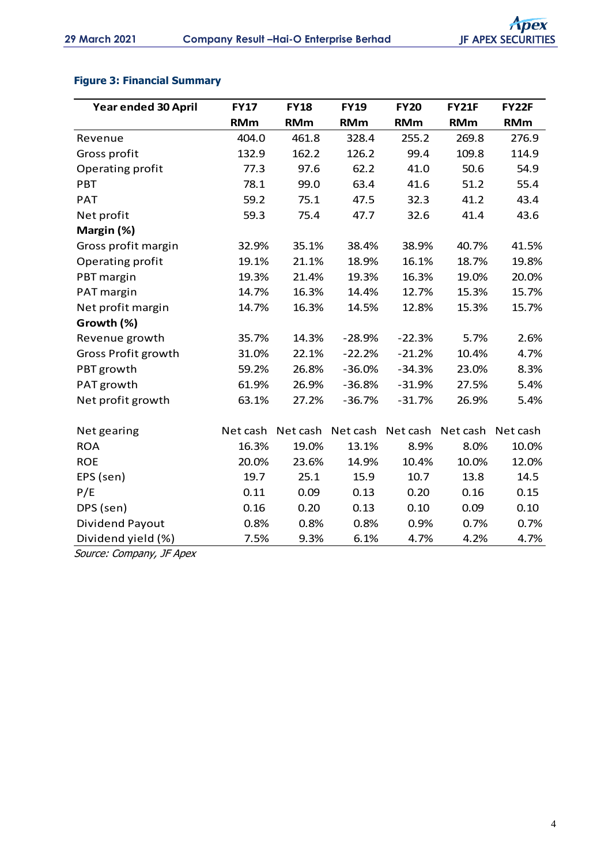# **Figure 3: Financial Summary**

| Year ended 30 April        | <b>FY17</b> | <b>FY18</b> | <b>FY19</b> | <b>FY20</b> | <b>FY21F</b> | <b>FY22F</b> |
|----------------------------|-------------|-------------|-------------|-------------|--------------|--------------|
|                            | <b>RMm</b>  | <b>RMm</b>  | <b>RMm</b>  | <b>RMm</b>  | <b>RMm</b>   | <b>RMm</b>   |
| Revenue                    | 404.0       | 461.8       | 328.4       | 255.2       | 269.8        | 276.9        |
| Gross profit               | 132.9       | 162.2       | 126.2       | 99.4        | 109.8        | 114.9        |
| Operating profit           | 77.3        | 97.6        | 62.2        | 41.0        | 50.6         | 54.9         |
| PBT                        | 78.1        | 99.0        | 63.4        | 41.6        | 51.2         | 55.4         |
| <b>PAT</b>                 | 59.2        | 75.1        | 47.5        | 32.3        | 41.2         | 43.4         |
| Net profit                 | 59.3        | 75.4        | 47.7        | 32.6        | 41.4         | 43.6         |
| Margin (%)                 |             |             |             |             |              |              |
| Gross profit margin        | 32.9%       | 35.1%       | 38.4%       | 38.9%       | 40.7%        | 41.5%        |
| Operating profit           | 19.1%       | 21.1%       | 18.9%       | 16.1%       | 18.7%        | 19.8%        |
| PBT margin                 | 19.3%       | 21.4%       | 19.3%       | 16.3%       | 19.0%        | 20.0%        |
| PAT margin                 | 14.7%       | 16.3%       | 14.4%       | 12.7%       | 15.3%        | 15.7%        |
| Net profit margin          | 14.7%       | 16.3%       | 14.5%       | 12.8%       | 15.3%        | 15.7%        |
| Growth (%)                 |             |             |             |             |              |              |
| Revenue growth             | 35.7%       | 14.3%       | $-28.9%$    | $-22.3%$    | 5.7%         | 2.6%         |
| <b>Gross Profit growth</b> | 31.0%       | 22.1%       | $-22.2%$    | $-21.2%$    | 10.4%        | 4.7%         |
| PBT growth                 | 59.2%       | 26.8%       | $-36.0%$    | $-34.3%$    | 23.0%        | 8.3%         |
| PAT growth                 | 61.9%       | 26.9%       | $-36.8%$    | $-31.9%$    | 27.5%        | 5.4%         |
| Net profit growth          | 63.1%       | 27.2%       | $-36.7%$    | $-31.7%$    | 26.9%        | 5.4%         |
|                            |             |             |             |             |              |              |
| Net gearing                | Net cash    | Net cash    | Net cash    | Net cash    | Net cash     | Net cash     |
| <b>ROA</b>                 | 16.3%       | 19.0%       | 13.1%       | 8.9%        | 8.0%         | 10.0%        |
| <b>ROE</b>                 | 20.0%       | 23.6%       | 14.9%       | 10.4%       | 10.0%        | 12.0%        |
| EPS (sen)                  | 19.7        | 25.1        | 15.9        | 10.7        | 13.8         | 14.5         |
| P/E                        | 0.11        | 0.09        | 0.13        | 0.20        | 0.16         | 0.15         |
| DPS (sen)                  | 0.16        | 0.20        | 0.13        | 0.10        | 0.09         | 0.10         |
| Dividend Payout            | 0.8%        | 0.8%        | 0.8%        | 0.9%        | 0.7%         | 0.7%         |
| Dividend yield (%)         | 7.5%        | 9.3%        | 6.1%        | 4.7%        | 4.2%         | 4.7%         |

Source: Company, JF Apex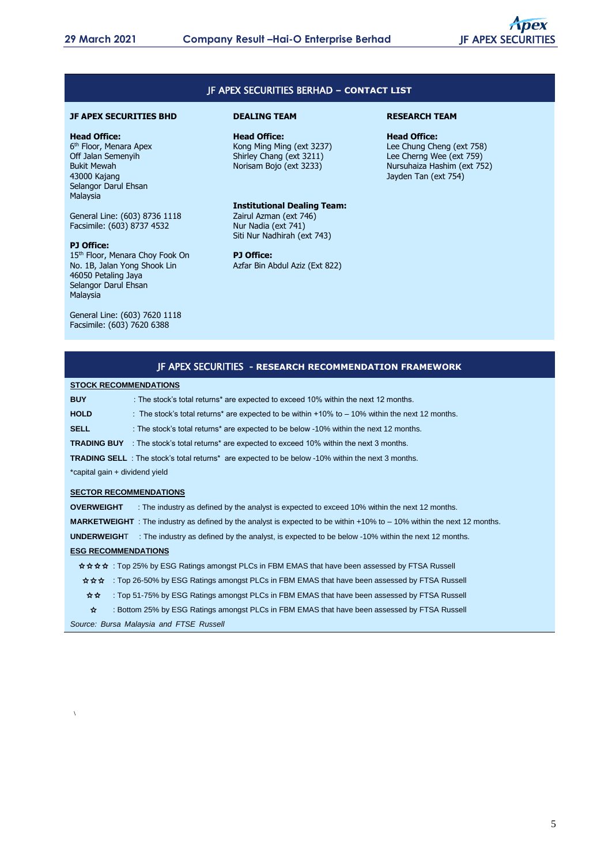

## JF APEX SECURITIES BERHAD **– CONTACT LIST**

#### **JF APEX SECURITIES BHD**

#### **Head Office:**

6<sup>th</sup> Floor, Menara Apex Off Jalan Semenyih Bukit Mewah 43000 Kajang Selangor Darul Ehsan Malaysia

General Line: (603) 8736 1118 Facsimile: (603) 8737 4532

#### **PJ Office:**

15<sup>th</sup> Floor, Menara Choy Fook On No. 1B, Jalan Yong Shook Lin 46050 Petaling Jaya Selangor Darul Ehsan Malaysia

General Line: (603) 7620 1118 Facsimile: (603) 7620 6388

#### **DEALING TEAM**

**Head Office:** Kong Ming Ming (ext 3237) Shirley Chang (ext 3211) Norisam Bojo (ext 3233)

#### **Institutional Dealing Team:**

Zairul Azman (ext 746) Nur Nadia (ext 741) Siti Nur Nadhirah (ext 743)

### **PJ Office:**

Azfar Bin Abdul Aziz (Ext 822)

#### **RESEARCH TEAM**

**Head Office:** Lee Chung Cheng (ext 758) Lee Cherng Wee (ext 759) Nursuhaiza Hashim (ext 752) Jayden Tan (ext 754)

#### JF APEX SECURITIES **- RESEARCH RECOMMENDATION FRAMEWORK**

#### **STOCK RECOMMENDATIONS**

| <b>BUY</b>                     | : The stock's total returns* are expected to exceed 10% within the next 12 months.                                   |
|--------------------------------|----------------------------------------------------------------------------------------------------------------------|
| <b>HOLD</b>                    | : The stock's total returns* are expected to be within $+10\%$ to $-10\%$ within the next 12 months.                 |
| <b>SELL</b>                    | : The stock's total returns* are expected to be below -10% within the next 12 months.                                |
|                                | <b>TRADING BUY</b> : The stock's total returns* are expected to exceed 10% within the next 3 months.                 |
|                                | <b>TRADING SELL</b> : The stock's total returns <sup>*</sup> are expected to be below -10% within the next 3 months. |
| *capital gain + dividend yield |                                                                                                                      |
|                                |                                                                                                                      |

#### **SECTOR RECOMMENDATIONS**

**OVERWEIGHT** : The industry as defined by the analyst is expected to exceed 10% within the next 12 months. **MARKETWEIGHT** : The industry as defined by the analyst is expected to be within +10% to – 10% within the next 12 months. **UNDERWEIGH**T : The industry as defined by the analyst, is expected to be below -10% within the next 12 months. **ESG RECOMMENDATIONS** ✩✩✩✩ : Top 25% by ESG Ratings amongst PLCs in FBM EMAS that have been assessed by FTSA Russell ✩✩✩ : Top 26-50% by ESG Ratings amongst PLCs in FBM EMAS that have been assessed by FTSA Russell ✩✩ : Top 51-75% by ESG Ratings amongst PLCs in FBM EMAS that have been assessed by FTSA Russell ✩ : Bottom 25% by ESG Ratings amongst PLCs in FBM EMAS that have been assessed by FTSA Russell

*Source: Bursa Malaysia and FTSE Russell*